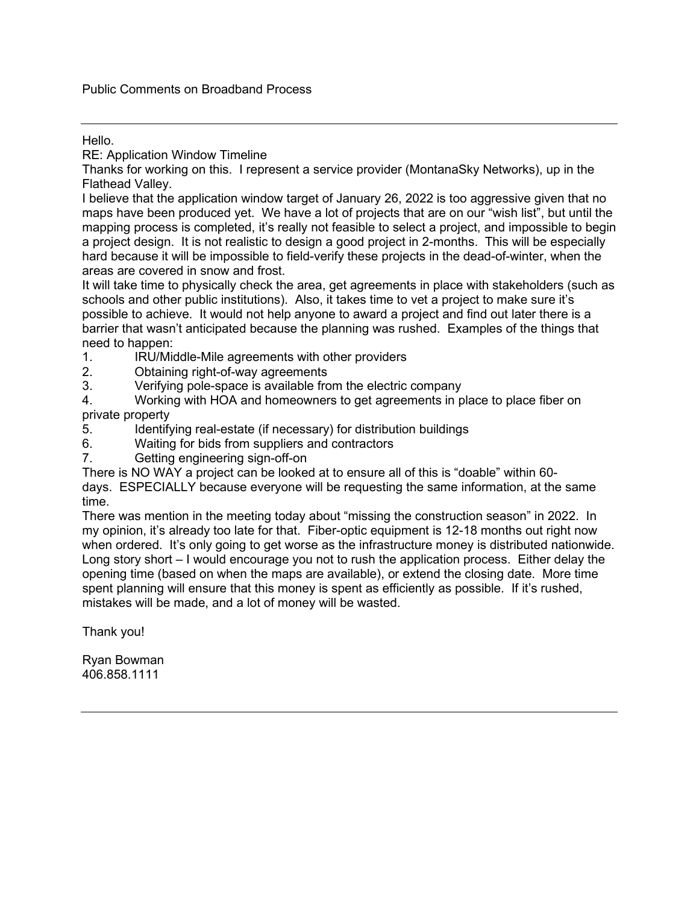#### Hello.

RE: Application Window Timeline

Thanks for working on this. I represent a service provider (MontanaSky Networks), up in the Flathead Valley.

I believe that the application window target of January 26, 2022 is too aggressive given that no maps have been produced yet. We have a lot of projects that are on our "wish list", but until the mapping process is completed, it's really not feasible to select a project, and impossible to begin a project design. It is not realistic to design a good project in 2-months. This will be especially hard because it will be impossible to field-verify these projects in the dead-of-winter, when the areas are covered in snow and frost.

It will take time to physically check the area, get agreements in place with stakeholders (such as schools and other public institutions). Also, it takes time to vet a project to make sure it's possible to achieve. It would not help anyone to award a project and find out later there is a barrier that wasn't anticipated because the planning was rushed. Examples of the things that need to happen:<br>1. IRU/Mid

- IRU/Middle-Mile agreements with other providers
- 2. Obtaining right-of-way agreements
- 3. Verifying pole-space is available from the electric company

4. Working with HOA and homeowners to get agreements in place to place fiber on private property

- 5. Identifying real-estate (if necessary) for distribution buildings
- 6. Waiting for bids from suppliers and contractors
- 7. Getting engineering sign-off-on

There is NO WAY a project can be looked at to ensure all of this is "doable" within 60 days. ESPECIALLY because everyone will be requesting the same information, at the same time.

There was mention in the meeting today about "missing the construction season" in 2022. In my opinion, it's already too late for that. Fiber-optic equipment is 12-18 months out right now when ordered. It's only going to get worse as the infrastructure money is distributed nationwide. Long story short – I would encourage you not to rush the application process. Either delay the opening time (based on when the maps are available), or extend the closing date. More time spent planning will ensure that this money is spent as efficiently as possible. If it's rushed, mistakes will be made, and a lot of money will be wasted.

Thank you!

Ryan Bowman 406.858.1111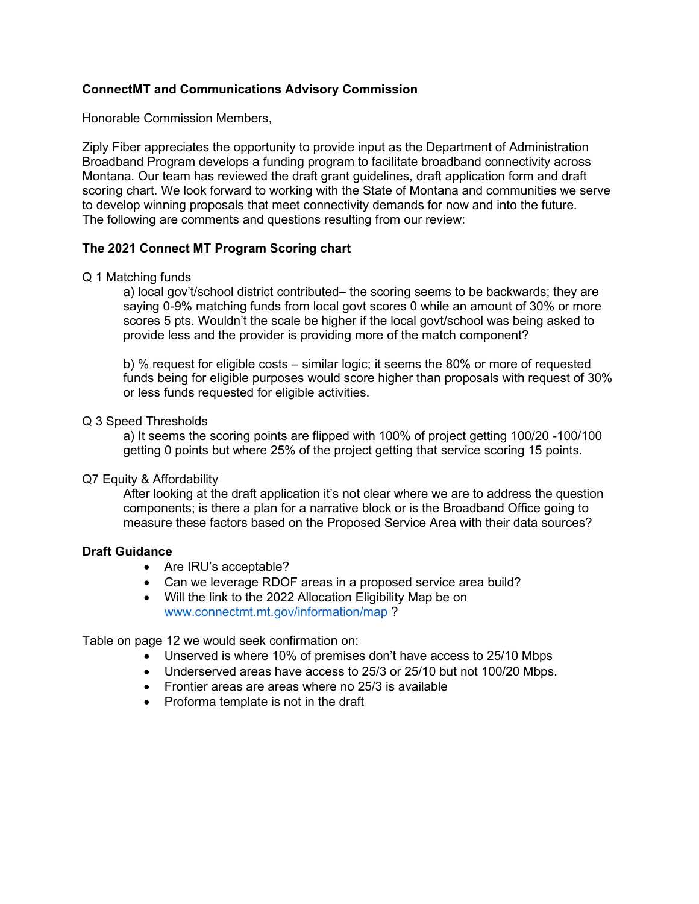#### **ConnectMT and Communications Advisory Commission**

Honorable Commission Members,

Ziply Fiber appreciates the opportunity to provide input as the Department of Administration Broadband Program develops a funding program to facilitate broadband connectivity across Montana. Our team has reviewed the draft grant guidelines, draft application form and draft scoring chart. We look forward to working with the State of Montana and communities we serve to develop winning proposals that meet connectivity demands for now and into the future. The following are comments and questions resulting from our review:

#### **The 2021 Connect MT Program Scoring chart**

#### Q 1 Matching funds

a) local gov't/school district contributed– the scoring seems to be backwards; they are saying 0-9% matching funds from local govt scores 0 while an amount of 30% or more scores 5 pts. Wouldn't the scale be higher if the local govt/school was being asked to provide less and the provider is providing more of the match component?

b) % request for eligible costs – similar logic; it seems the 80% or more of requested funds being for eligible purposes would score higher than proposals with request of 30% or less funds requested for eligible activities.

#### Q 3 Speed Thresholds

a) It seems the scoring points are flipped with 100% of project getting 100/20 -100/100 getting 0 points but where 25% of the project getting that service scoring 15 points.

#### Q7 Equity & Affordability

After looking at the draft application it's not clear where we are to address the question components; is there a plan for a narrative block or is the Broadband Office going to measure these factors based on the Proposed Service Area with their data sources?

#### **Draft Guidance**

- Are IRU's acceptable?
- Can we leverage RDOF areas in a proposed service area build?
- Will the link to the 2022 Allocation Eligibility Map be on www.connectmt.mt.gov/information/map ?

Table on page 12 we would seek confirmation on:

- Unserved is where 10% of premises don't have access to 25/10 Mbps
- Underserved areas have access to 25/3 or 25/10 but not 100/20 Mbps.
- Frontier areas are areas where no 25/3 is available
- Proforma template is not in the draft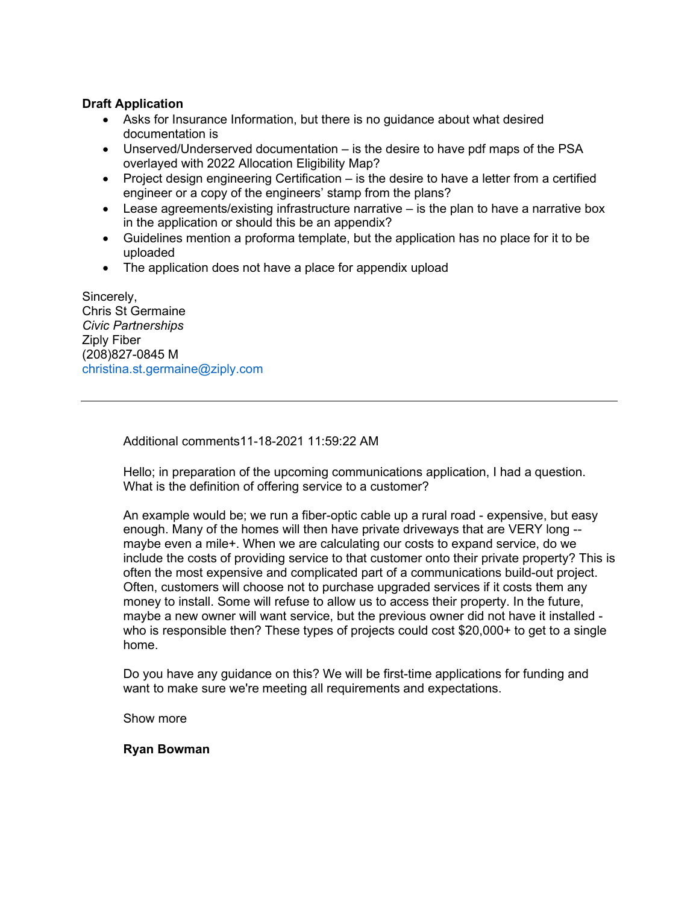#### **Draft Application**

- Asks for Insurance Information, but there is no guidance about what desired documentation is
- Unserved/Underserved documentation is the desire to have pdf maps of the PSA overlayed with 2022 Allocation Eligibility Map?
- Project design engineering Certification is the desire to have a letter from a certified engineer or a copy of the engineers' stamp from the plans?
- $\bullet$  Lease agreements/existing infrastructure narrative  $-$  is the plan to have a narrative box in the application or should this be an appendix?
- Guidelines mention a proforma template, but the application has no place for it to be uploaded
- The application does not have a place for appendix upload

Sincerely, Chris St Germaine *Civic Partnerships*  Ziply Fiber (208)827-0845 M christina.st.germaine@ziply.com

Additional comments11-18-2021 11:59:22 AM

Hello; in preparation of the upcoming communications application, I had a question. What is the definition of offering service to a customer?

An example would be; we run a fiber-optic cable up a rural road - expensive, but easy enough. Many of the homes will then have private driveways that are VERY long - maybe even a mile+. When we are calculating our costs to expand service, do we include the costs of providing service to that customer onto their private property? This is often the most expensive and complicated part of a communications build-out project. Often, customers will choose not to purchase upgraded services if it costs them any money to install. Some will refuse to allow us to access their property. In the future, maybe a new owner will want service, but the previous owner did not have it installed who is responsible then? These types of projects could cost \$20,000+ to get to a single home.

Do you have any guidance on this? We will be first-time applications for funding and want to make sure we're meeting all requirements and expectations.

Show more

**Ryan Bowman**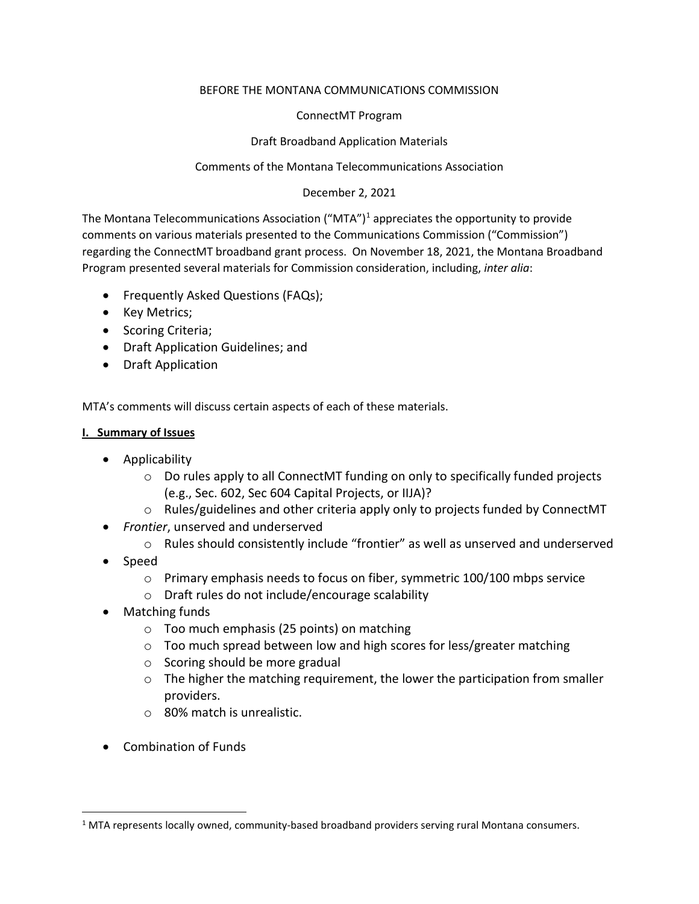#### BEFORE THE MONTANA COMMUNICATIONS COMMISSION

#### ConnectMT Program

#### Draft Broadband Application Materials

#### Comments of the Montana Telecommunications Association

#### December 2, 2021

The Montana Telecommunications Association ("MTA")<sup>[1](#page-3-0)</sup> appreciates the opportunity to provide comments on various materials presented to the Communications Commission ("Commission") regarding the ConnectMT broadband grant process. On November 18, 2021, the Montana Broadband Program presented several materials for Commission consideration, including, *inter alia*:

- Frequently Asked Questions (FAQs);
- Key Metrics;
- Scoring Criteria;
- Draft Application Guidelines; and
- Draft Application

MTA's comments will discuss certain aspects of each of these materials.

#### **I. Summary of Issues**

- Applicability
	- $\circ$  Do rules apply to all ConnectMT funding on only to specifically funded projects (e.g., Sec. 602, Sec 604 Capital Projects, or IIJA)?
	- $\circ$  Rules/guidelines and other criteria apply only to projects funded by ConnectMT
- *Frontier*, unserved and underserved
	- o Rules should consistently include "frontier" as well as unserved and underserved
- Speed
	- $\circ$  Primary emphasis needs to focus on fiber, symmetric 100/100 mbps service
	- o Draft rules do not include/encourage scalability
- Matching funds
	- o Too much emphasis (25 points) on matching
	- o Too much spread between low and high scores for less/greater matching
	- $\circ$  Scoring should be more gradual
	- $\circ$  The higher the matching requirement, the lower the participation from smaller providers.
	- o 80% match is unrealistic.
- Combination of Funds

<span id="page-3-0"></span> $1$  MTA represents locally owned, community-based broadband providers serving rural Montana consumers.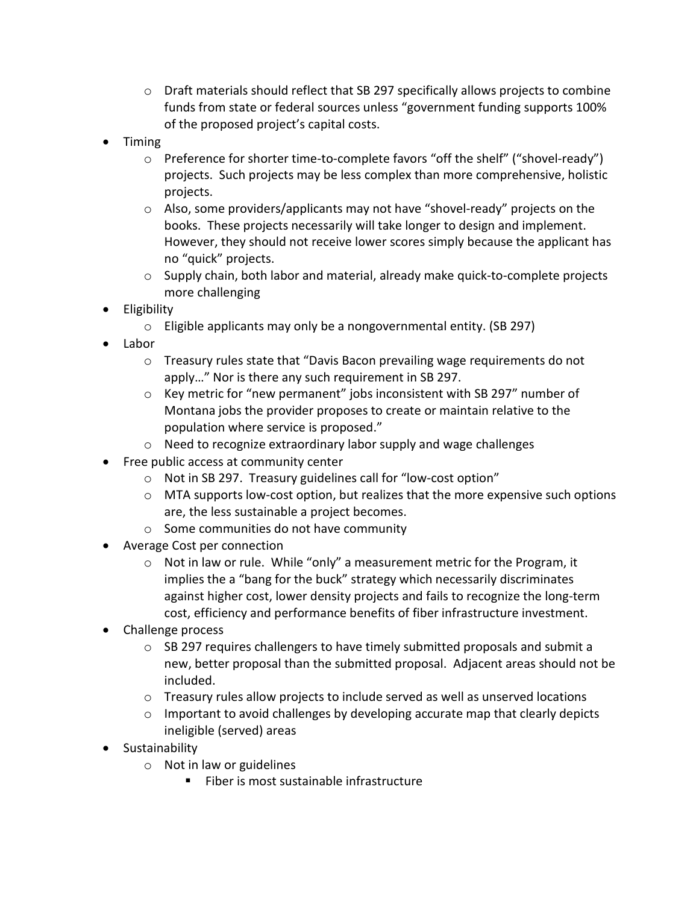- $\circ$  Draft materials should reflect that SB 297 specifically allows projects to combine funds from state or federal sources unless "government funding supports 100% of the proposed project's capital costs.
- Timing
	- o Preference for shorter time-to-complete favors "off the shelf" ("shovel-ready") projects. Such projects may be less complex than more comprehensive, holistic projects.
	- $\circ$  Also, some providers/applicants may not have "shovel-ready" projects on the books. These projects necessarily will take longer to design and implement. However, they should not receive lower scores simply because the applicant has no "quick" projects.
	- o Supply chain, both labor and material, already make quick-to-complete projects more challenging
- Eligibility
	- o Eligible applicants may only be a nongovernmental entity. (SB 297)
- Labor
	- $\circ$  Treasury rules state that "Davis Bacon prevailing wage requirements do not apply…" Nor is there any such requirement in SB 297.
	- $\circ$  Key metric for "new permanent" jobs inconsistent with SB 297" number of Montana jobs the provider proposes to create or maintain relative to the population where service is proposed."
	- o Need to recognize extraordinary labor supply and wage challenges
- Free public access at community center
	- o Not in SB 297. Treasury guidelines call for "low-cost option"
	- $\circ$  MTA supports low-cost option, but realizes that the more expensive such options are, the less sustainable a project becomes.
	- o Some communities do not have community
- Average Cost per connection
	- $\circ$  Not in law or rule. While "only" a measurement metric for the Program, it implies the a "bang for the buck" strategy which necessarily discriminates against higher cost, lower density projects and fails to recognize the long-term cost, efficiency and performance benefits of fiber infrastructure investment.
- Challenge process
	- $\circ$  SB 297 requires challengers to have timely submitted proposals and submit a new, better proposal than the submitted proposal. Adjacent areas should not be included.
	- o Treasury rules allow projects to include served as well as unserved locations
	- $\circ$  Important to avoid challenges by developing accurate map that clearly depicts ineligible (served) areas
- Sustainability
	- o Not in law or guidelines
		- Fiber is most sustainable infrastructure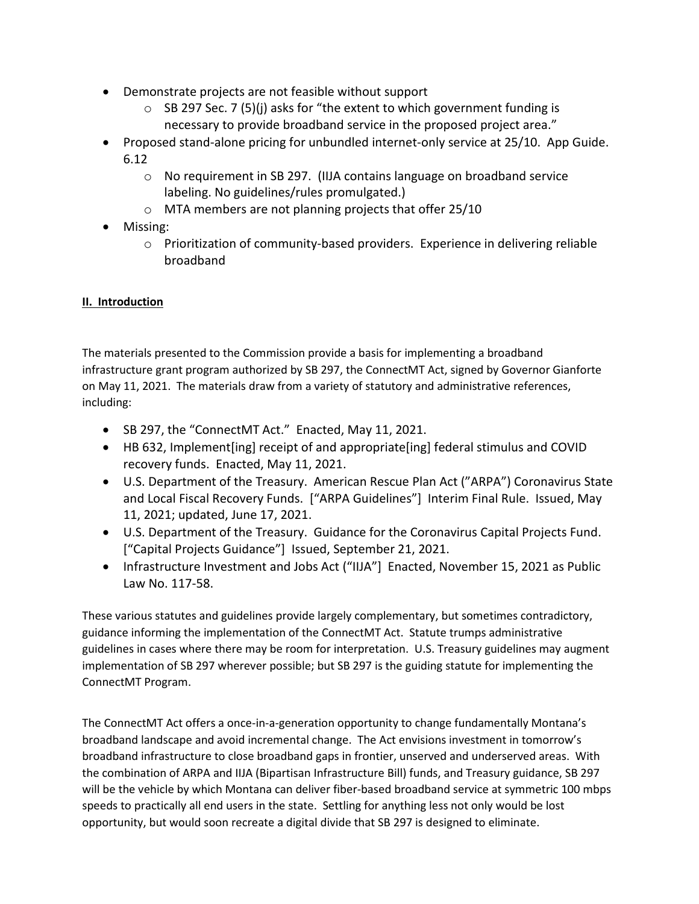- Demonstrate projects are not feasible without support
	- $\circ$  SB 297 Sec. 7 (5)(i) asks for "the extent to which government funding is necessary to provide broadband service in the proposed project area."
- Proposed stand-alone pricing for unbundled internet-only service at 25/10. App Guide. 6.12
	- o No requirement in SB 297. (IIJA contains language on broadband service labeling. No guidelines/rules promulgated.)
	- o MTA members are not planning projects that offer 25/10
- Missing:
	- o Prioritization of community-based providers. Experience in delivering reliable broadband

## **II. Introduction**

The materials presented to the Commission provide a basis for implementing a broadband infrastructure grant program authorized by SB 297, the ConnectMT Act, signed by Governor Gianforte on May 11, 2021. The materials draw from a variety of statutory and administrative references, including:

- SB 297, the "ConnectMT Act." Enacted, May 11, 2021.
- HB 632, Implement[ing] receipt of and appropriate[ing] federal stimulus and COVID recovery funds. Enacted, May 11, 2021.
- U.S. Department of the Treasury. American Rescue Plan Act ("ARPA") Coronavirus State and Local Fiscal Recovery Funds. ["ARPA Guidelines"] Interim Final Rule. Issued, May 11, 2021; updated, June 17, 2021.
- U.S. Department of the Treasury. Guidance for the Coronavirus Capital Projects Fund. ["Capital Projects Guidance"] Issued, September 21, 2021.
- Infrastructure Investment and Jobs Act ("IIJA"] Enacted, November 15, 2021 as Public Law No. 117-58.

These various statutes and guidelines provide largely complementary, but sometimes contradictory, guidance informing the implementation of the ConnectMT Act. Statute trumps administrative guidelines in cases where there may be room for interpretation. U.S. Treasury guidelines may augment implementation of SB 297 wherever possible; but SB 297 is the guiding statute for implementing the ConnectMT Program.

The ConnectMT Act offers a once-in-a-generation opportunity to change fundamentally Montana's broadband landscape and avoid incremental change. The Act envisions investment in tomorrow's broadband infrastructure to close broadband gaps in frontier, unserved and underserved areas. With the combination of ARPA and IIJA (Bipartisan Infrastructure Bill) funds, and Treasury guidance, SB 297 will be the vehicle by which Montana can deliver fiber-based broadband service at symmetric 100 mbps speeds to practically all end users in the state. Settling for anything less not only would be lost opportunity, but would soon recreate a digital divide that SB 297 is designed to eliminate.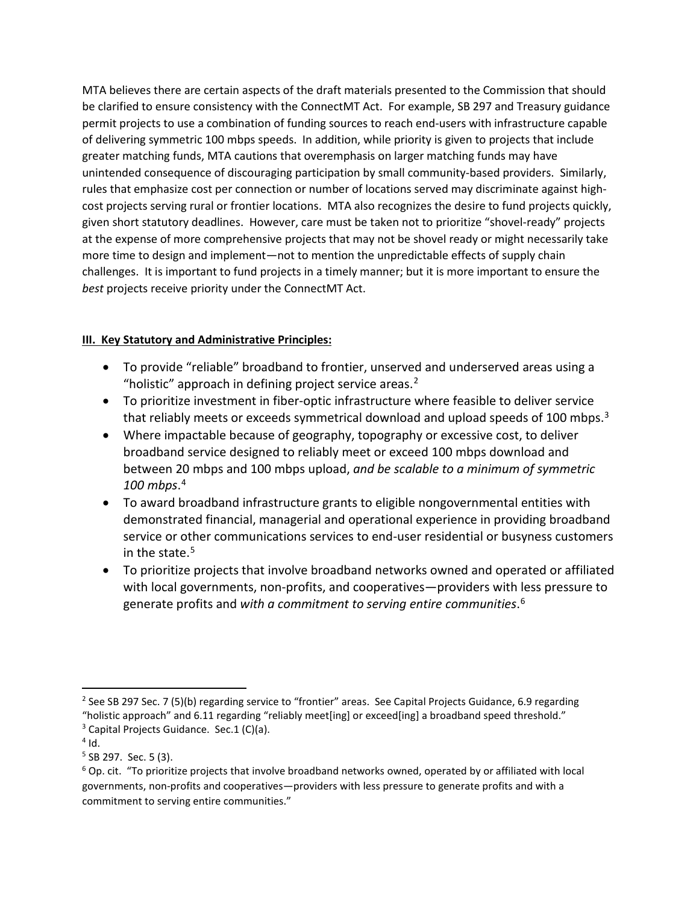MTA believes there are certain aspects of the draft materials presented to the Commission that should be clarified to ensure consistency with the ConnectMT Act. For example, SB 297 and Treasury guidance permit projects to use a combination of funding sources to reach end-users with infrastructure capable of delivering symmetric 100 mbps speeds. In addition, while priority is given to projects that include greater matching funds, MTA cautions that overemphasis on larger matching funds may have unintended consequence of discouraging participation by small community-based providers. Similarly, rules that emphasize cost per connection or number of locations served may discriminate against highcost projects serving rural or frontier locations. MTA also recognizes the desire to fund projects quickly, given short statutory deadlines. However, care must be taken not to prioritize "shovel-ready" projects at the expense of more comprehensive projects that may not be shovel ready or might necessarily take more time to design and implement—not to mention the unpredictable effects of supply chain challenges. It is important to fund projects in a timely manner; but it is more important to ensure the *best* projects receive priority under the ConnectMT Act.

### **III. Key Statutory and Administrative Principles:**

- To provide "reliable" broadband to frontier, unserved and underserved areas using a "holistic" approach in defining project service areas. $2$
- To prioritize investment in fiber-optic infrastructure where feasible to deliver service that reliably meets or exceeds symmetrical download and upload speeds of 100 mbps.<sup>[3](#page-6-1)</sup>
- Where impactable because of geography, topography or excessive cost, to deliver broadband service designed to reliably meet or exceed 100 mbps download and between 20 mbps and 100 mbps upload, *and be scalable to a minimum of symmetric 100 mbps*. [4](#page-6-2)
- To award broadband infrastructure grants to eligible nongovernmental entities with demonstrated financial, managerial and operational experience in providing broadband service or other communications services to end-user residential or busyness customers in the state.<sup>[5](#page-6-3)</sup>
- To prioritize projects that involve broadband networks owned and operated or affiliated with local governments, non-profits, and cooperatives—providers with less pressure to generate profits and *with a commitment to serving entire communities*. [6](#page-6-4)

<span id="page-6-0"></span><sup>&</sup>lt;sup>2</sup> See SB 297 Sec. 7 (5)(b) regarding service to "frontier" areas. See Capital Projects Guidance, 6.9 regarding "holistic approach" and 6.11 regarding "reliably meet[ing] or exceed[ing] a broadband speed threshold."  $3$  Capital Projects Guidance. Sec.1 (C)(a).

<span id="page-6-2"></span><span id="page-6-1"></span> $4$  Id.

<span id="page-6-3"></span> $5$  SB 297. Sec. 5 (3).

<span id="page-6-4"></span><sup>6</sup> Op. cit. "To prioritize projects that involve broadband networks owned, operated by or affiliated with local governments, non-profits and cooperatives—providers with less pressure to generate profits and with a commitment to serving entire communities."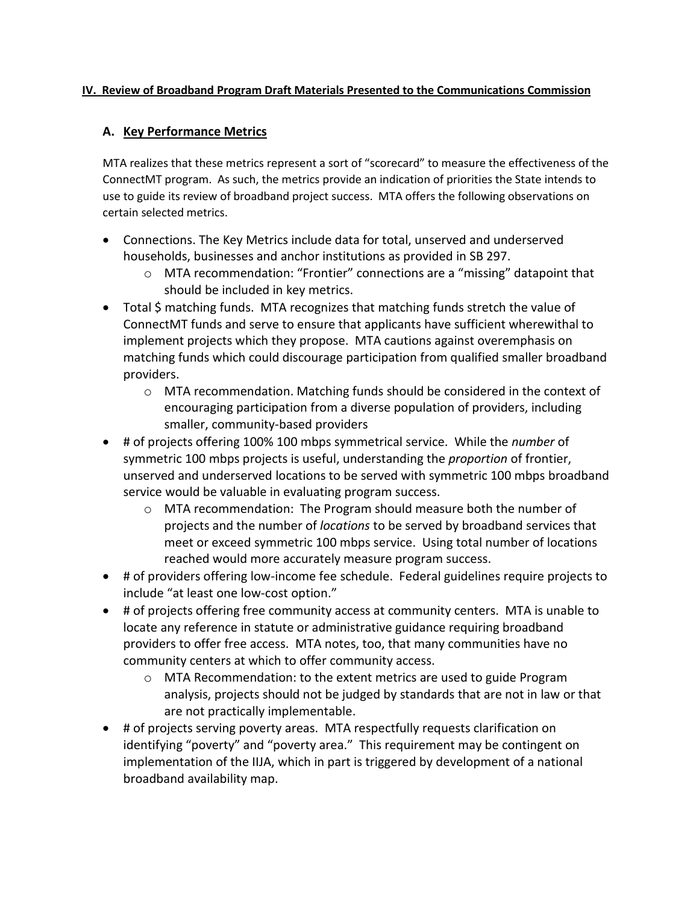#### **IV. Review of Broadband Program Draft Materials Presented to the Communications Commission**

### **A. Key Performance Metrics**

MTA realizes that these metrics represent a sort of "scorecard" to measure the effectiveness of the ConnectMT program. As such, the metrics provide an indication of priorities the State intends to use to guide its review of broadband project success. MTA offers the following observations on certain selected metrics.

- Connections. The Key Metrics include data for total, unserved and underserved households, businesses and anchor institutions as provided in SB 297.
	- $\circ$  MTA recommendation: "Frontier" connections are a "missing" datapoint that should be included in key metrics.
- Total \$ matching funds. MTA recognizes that matching funds stretch the value of ConnectMT funds and serve to ensure that applicants have sufficient wherewithal to implement projects which they propose. MTA cautions against overemphasis on matching funds which could discourage participation from qualified smaller broadband providers.
	- $\circ$  MTA recommendation. Matching funds should be considered in the context of encouraging participation from a diverse population of providers, including smaller, community-based providers
- # of projects offering 100% 100 mbps symmetrical service. While the *number* of symmetric 100 mbps projects is useful, understanding the *proportion* of frontier, unserved and underserved locations to be served with symmetric 100 mbps broadband service would be valuable in evaluating program success.
	- $\circ$  MTA recommendation: The Program should measure both the number of projects and the number of *locations* to be served by broadband services that meet or exceed symmetric 100 mbps service. Using total number of locations reached would more accurately measure program success.
- # of providers offering low-income fee schedule. Federal guidelines require projects to include "at least one low-cost option."
- # of projects offering free community access at community centers. MTA is unable to locate any reference in statute or administrative guidance requiring broadband providers to offer free access. MTA notes, too, that many communities have no community centers at which to offer community access.
	- o MTA Recommendation: to the extent metrics are used to guide Program analysis, projects should not be judged by standards that are not in law or that are not practically implementable.
- # of projects serving poverty areas. MTA respectfully requests clarification on identifying "poverty" and "poverty area." This requirement may be contingent on implementation of the IIJA, which in part is triggered by development of a national broadband availability map.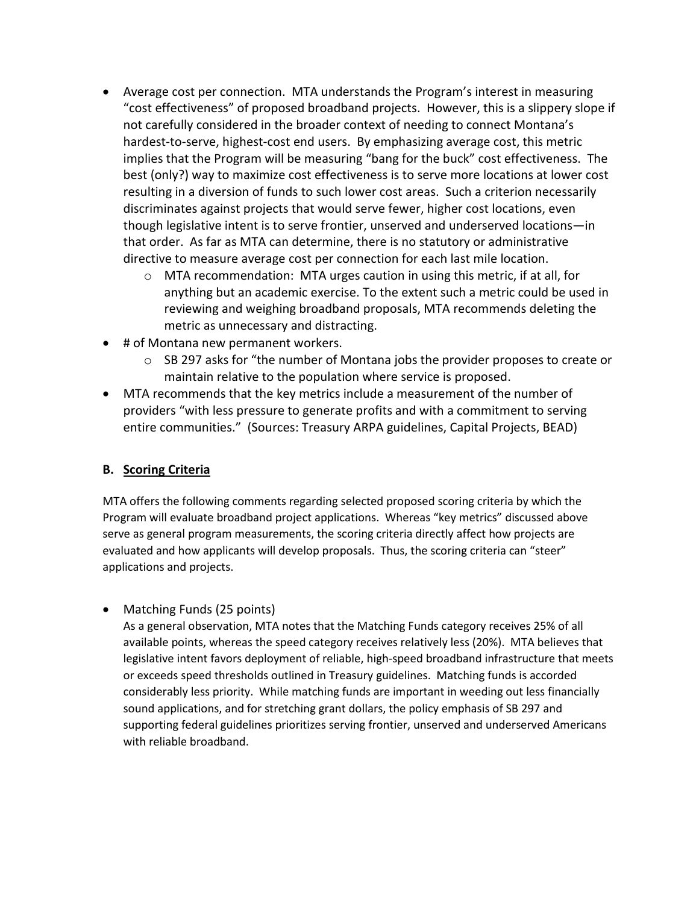- Average cost per connection. MTA understands the Program's interest in measuring "cost effectiveness" of proposed broadband projects. However, this is a slippery slope if not carefully considered in the broader context of needing to connect Montana's hardest-to-serve, highest-cost end users. By emphasizing average cost, this metric implies that the Program will be measuring "bang for the buck" cost effectiveness. The best (only?) way to maximize cost effectiveness is to serve more locations at lower cost resulting in a diversion of funds to such lower cost areas. Such a criterion necessarily discriminates against projects that would serve fewer, higher cost locations, even though legislative intent is to serve frontier, unserved and underserved locations—in that order. As far as MTA can determine, there is no statutory or administrative directive to measure average cost per connection for each last mile location.
	- o MTA recommendation: MTA urges caution in using this metric, if at all, for anything but an academic exercise. To the extent such a metric could be used in reviewing and weighing broadband proposals, MTA recommends deleting the metric as unnecessary and distracting.
- # of Montana new permanent workers.
	- o SB 297 asks for "the number of Montana jobs the provider proposes to create or maintain relative to the population where service is proposed.
- MTA recommends that the key metrics include a measurement of the number of providers "with less pressure to generate profits and with a commitment to serving entire communities." (Sources: Treasury ARPA guidelines, Capital Projects, BEAD)

## **B. Scoring Criteria**

MTA offers the following comments regarding selected proposed scoring criteria by which the Program will evaluate broadband project applications. Whereas "key metrics" discussed above serve as general program measurements, the scoring criteria directly affect how projects are evaluated and how applicants will develop proposals. Thus, the scoring criteria can "steer" applications and projects.

• Matching Funds (25 points)

As a general observation, MTA notes that the Matching Funds category receives 25% of all available points, whereas the speed category receives relatively less (20%). MTA believes that legislative intent favors deployment of reliable, high-speed broadband infrastructure that meets or exceeds speed thresholds outlined in Treasury guidelines. Matching funds is accorded considerably less priority. While matching funds are important in weeding out less financially sound applications, and for stretching grant dollars, the policy emphasis of SB 297 and supporting federal guidelines prioritizes serving frontier, unserved and underserved Americans with reliable broadband.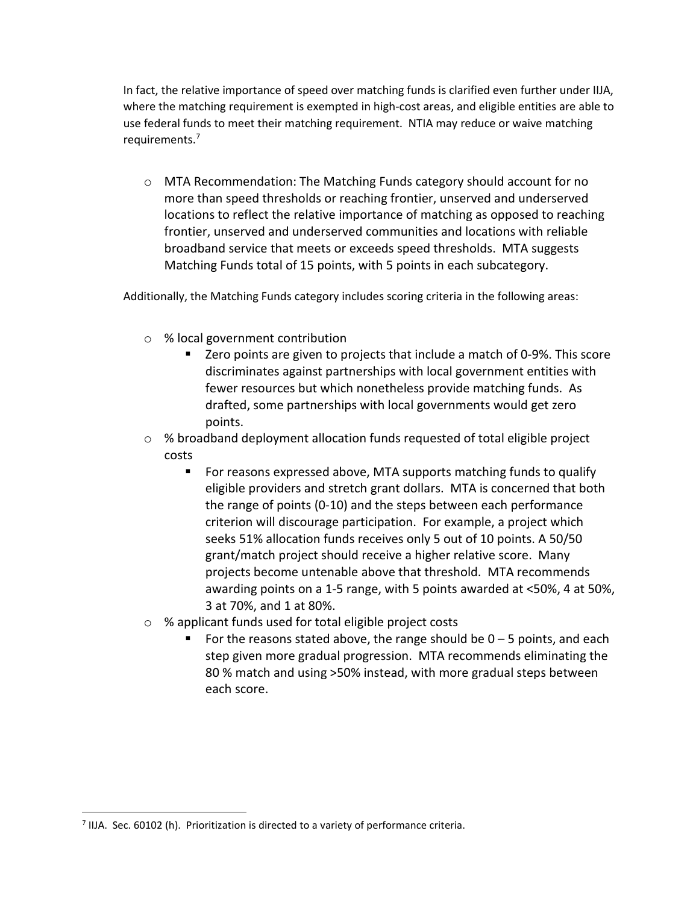In fact, the relative importance of speed over matching funds is clarified even further under IIJA, where the matching requirement is exempted in high-cost areas, and eligible entities are able to use federal funds to meet their matching requirement. NTIA may reduce or waive matching requirements.[7](#page-9-0)

o MTA Recommendation: The Matching Funds category should account for no more than speed thresholds or reaching frontier, unserved and underserved locations to reflect the relative importance of matching as opposed to reaching frontier, unserved and underserved communities and locations with reliable broadband service that meets or exceeds speed thresholds. MTA suggests Matching Funds total of 15 points, with 5 points in each subcategory.

Additionally, the Matching Funds category includes scoring criteria in the following areas:

- o % local government contribution
	- Zero points are given to projects that include a match of 0-9%. This score discriminates against partnerships with local government entities with fewer resources but which nonetheless provide matching funds. As drafted, some partnerships with local governments would get zero points.
- $\circ$  % broadband deployment allocation funds requested of total eligible project costs
	- For reasons expressed above, MTA supports matching funds to qualify eligible providers and stretch grant dollars. MTA is concerned that both the range of points (0-10) and the steps between each performance criterion will discourage participation. For example, a project which seeks 51% allocation funds receives only 5 out of 10 points. A 50/50 grant/match project should receive a higher relative score. Many projects become untenable above that threshold. MTA recommends awarding points on a 1-5 range, with 5 points awarded at <50%, 4 at 50%, 3 at 70%, and 1 at 80%.
- o % applicant funds used for total eligible project costs
	- For the reasons stated above, the range should be  $0 5$  points, and each step given more gradual progression. MTA recommends eliminating the 80 % match and using >50% instead, with more gradual steps between each score.

<span id="page-9-0"></span> $<sup>7</sup>$  IIJA. Sec. 60102 (h). Prioritization is directed to a variety of performance criteria.</sup>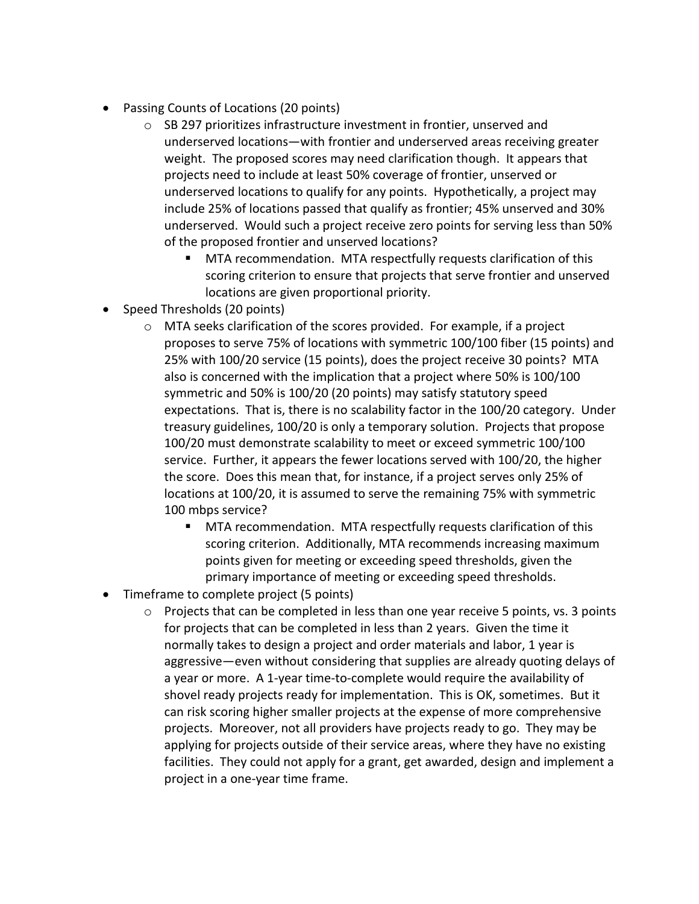- Passing Counts of Locations (20 points)
	- o SB 297 prioritizes infrastructure investment in frontier, unserved and underserved locations—with frontier and underserved areas receiving greater weight. The proposed scores may need clarification though. It appears that projects need to include at least 50% coverage of frontier, unserved or underserved locations to qualify for any points. Hypothetically, a project may include 25% of locations passed that qualify as frontier; 45% unserved and 30% underserved. Would such a project receive zero points for serving less than 50% of the proposed frontier and unserved locations?
		- MTA recommendation. MTA respectfully requests clarification of this scoring criterion to ensure that projects that serve frontier and unserved locations are given proportional priority.
- Speed Thresholds (20 points)
	- o MTA seeks clarification of the scores provided. For example, if a project proposes to serve 75% of locations with symmetric 100/100 fiber (15 points) and 25% with 100/20 service (15 points), does the project receive 30 points? MTA also is concerned with the implication that a project where 50% is 100/100 symmetric and 50% is 100/20 (20 points) may satisfy statutory speed expectations. That is, there is no scalability factor in the 100/20 category. Under treasury guidelines, 100/20 is only a temporary solution. Projects that propose 100/20 must demonstrate scalability to meet or exceed symmetric 100/100 service. Further, it appears the fewer locations served with 100/20, the higher the score. Does this mean that, for instance, if a project serves only 25% of locations at 100/20, it is assumed to serve the remaining 75% with symmetric 100 mbps service?
		- **MTA recommendation. MTA respectfully requests clarification of this** scoring criterion. Additionally, MTA recommends increasing maximum points given for meeting or exceeding speed thresholds, given the primary importance of meeting or exceeding speed thresholds.
- Timeframe to complete project (5 points)
	- $\circ$  Projects that can be completed in less than one year receive 5 points, vs. 3 points for projects that can be completed in less than 2 years. Given the time it normally takes to design a project and order materials and labor, 1 year is aggressive—even without considering that supplies are already quoting delays of a year or more. A 1-year time-to-complete would require the availability of shovel ready projects ready for implementation. This is OK, sometimes. But it can risk scoring higher smaller projects at the expense of more comprehensive projects. Moreover, not all providers have projects ready to go. They may be applying for projects outside of their service areas, where they have no existing facilities. They could not apply for a grant, get awarded, design and implement a project in a one-year time frame.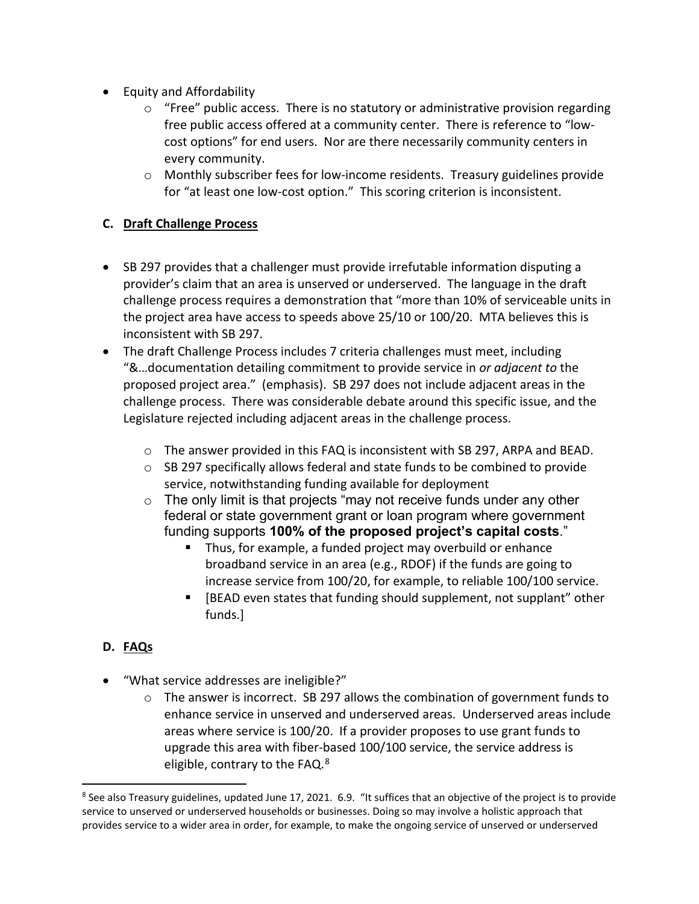- Equity and Affordability
	- $\circ$  "Free" public access. There is no statutory or administrative provision regarding free public access offered at a community center. There is reference to "lowcost options" for end users. Nor are there necessarily community centers in every community.
	- o Monthly subscriber fees for low-income residents. Treasury guidelines provide for "at least one low-cost option." This scoring criterion is inconsistent.

## **C. Draft Challenge Process**

- SB 297 provides that a challenger must provide irrefutable information disputing a provider's claim that an area is unserved or underserved. The language in the draft challenge process requires a demonstration that "more than 10% of serviceable units in the project area have access to speeds above 25/10 or 100/20. MTA believes this is inconsistent with SB 297.
- The draft Challenge Process includes 7 criteria challenges must meet, including "&…documentation detailing commitment to provide service in *or adjacent to* the proposed project area." (emphasis). SB 297 does not include adjacent areas in the challenge process. There was considerable debate around this specific issue, and the Legislature rejected including adjacent areas in the challenge process.
	- o The answer provided in this FAQ is inconsistent with SB 297, ARPA and BEAD.
	- $\circ$  SB 297 specifically allows federal and state funds to be combined to provide service, notwithstanding funding available for deployment
	- $\circ$  The only limit is that projects "may not receive funds under any other federal or state government grant or loan program where government funding supports **100% of the proposed project's capital costs**."
		- **Thus, for example, a funded project may overbuild or enhance** broadband service in an area (e.g., RDOF) if the funds are going to increase service from 100/20, for example, to reliable 100/100 service.
		- [BEAD even states that funding should supplement, not supplant" other funds.]

# **D. FAQs**

- "What service addresses are ineligible?"
	- $\circ$  The answer is incorrect. SB 297 allows the combination of government funds to enhance service in unserved and underserved areas. Underserved areas include areas where service is 100/20. If a provider proposes to use grant funds to upgrade this area with fiber-based 100/100 service, the service address is eligible, contrary to the FAQ.<sup>8</sup>

<span id="page-11-0"></span> $8$  See also Treasury guidelines, updated June 17, 2021. 6.9. "It suffices that an objective of the project is to provide service to unserved or underserved households or businesses. Doing so may involve a holistic approach that provides service to a wider area in order, for example, to make the ongoing service of unserved or underserved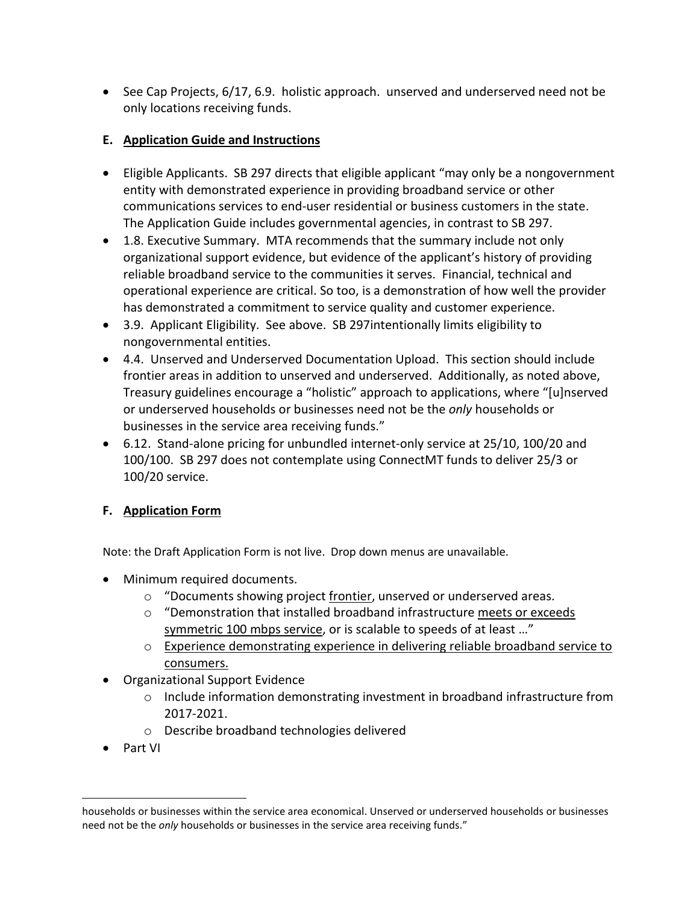• See Cap Projects, 6/17, 6.9. holistic approach. unserved and underserved need not be only locations receiving funds.

## **E. Application Guide and Instructions**

- Eligible Applicants. SB 297 directs that eligible applicant "may only be a nongovernment entity with demonstrated experience in providing broadband service or other communications services to end-user residential or business customers in the state. The Application Guide includes governmental agencies, in contrast to SB 297.
- 1.8. Executive Summary. MTA recommends that the summary include not only organizational support evidence, but evidence of the applicant's history of providing reliable broadband service to the communities it serves. Financial, technical and operational experience are critical. So too, is a demonstration of how well the provider has demonstrated a commitment to service quality and customer experience.
- 3.9. Applicant Eligibility. See above. SB 297intentionally limits eligibility to nongovernmental entities.
- 4.4. Unserved and Underserved Documentation Upload. This section should include frontier areas in addition to unserved and underserved. Additionally, as noted above, Treasury guidelines encourage a "holistic" approach to applications, where "[u]nserved or underserved households or businesses need not be the *only* households or businesses in the service area receiving funds."
- 6.12. Stand-alone pricing for unbundled internet-only service at 25/10, 100/20 and 100/100. SB 297 does not contemplate using ConnectMT funds to deliver 25/3 or 100/20 service.

## **F. Application Form**

Note: the Draft Application Form is not live. Drop down menus are unavailable.

- Minimum required documents.
	- o "Documents showing project frontier, unserved or underserved areas.
	- $\circ$  "Demonstration that installed broadband infrastructure meets or exceeds symmetric 100 mbps service, or is scalable to speeds of at least …"
	- o Experience demonstrating experience in delivering reliable broadband service to consumers.
- Organizational Support Evidence
	- o Include information demonstrating investment in broadband infrastructure from 2017-2021.
	- o Describe broadband technologies delivered
- Part VI

households or businesses within the service area economical. Unserved or underserved households or businesses need not be the *only* households or businesses in the service area receiving funds."